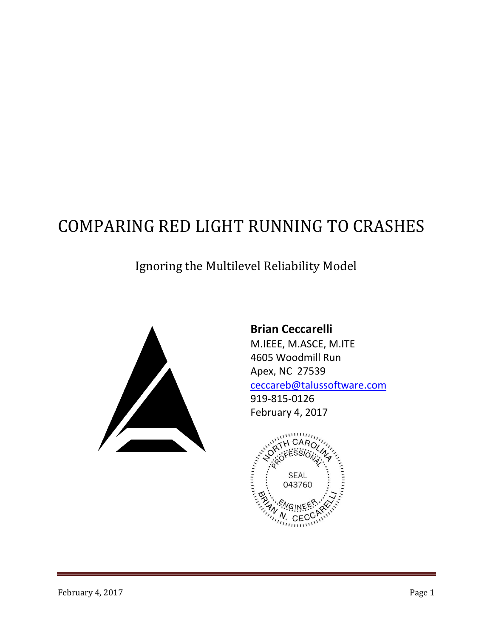# COMPARING RED LIGHT RUNNING TO CRASHES

## Ignoring the Multilevel Reliability Model



**Brian Ceccarelli** M.IEEE, M.ASCE, M.ITE 4605 Woodmill Run Apex, NC 27539 [ceccareb@talussoftware.com](mailto:ceccareb@talussoftware.com) 919-815-0126 February 4, 2017

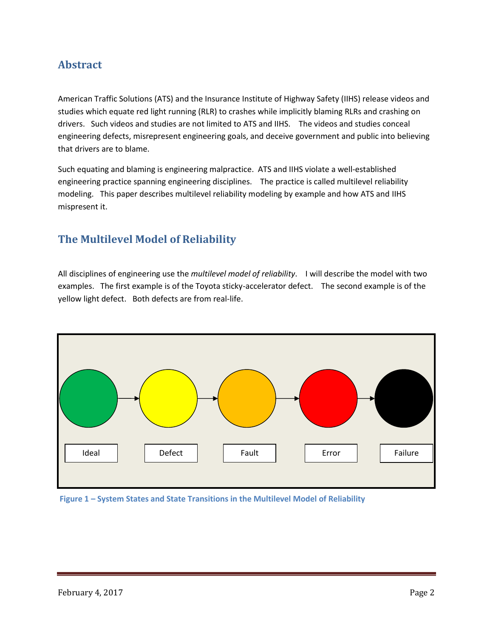## **Abstract**

American Traffic Solutions (ATS) and the Insurance Institute of Highway Safety (IIHS) release videos and studies which equate red light running (RLR) to crashes while implicitly blaming RLRs and crashing on drivers. Such videos and studies are not limited to ATS and IIHS. The videos and studies conceal engineering defects, misrepresent engineering goals, and deceive government and public into believing that drivers are to blame.

Such equating and blaming is engineering malpractice. ATS and IIHS violate a well-established engineering practice spanning engineering disciplines. The practice is called multilevel reliability modeling. This paper describes multilevel reliability modeling by example and how ATS and IIHS mispresent it.

## **The Multilevel Model of Reliability**

All disciplines of engineering use the *multilevel model of reliability*. I will describe the model with two examples. The first example is of the Toyota sticky-accelerator defect. The second example is of the yellow light defect. Both defects are from real-life.



**Figure 1 – System States and State Transitions in the Multilevel Model of Reliability**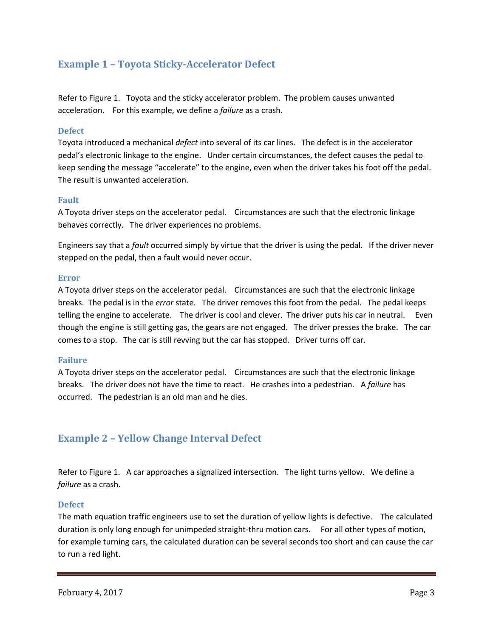## **Example 1 – Toyota Sticky-Accelerator Defect**

Refer to Figure 1. Toyota and the sticky accelerator problem. The problem causes unwanted acceleration. For this example, we define a *failure* as a crash.

#### **Defect**

Toyota introduced a mechanical *defect* into several of its car lines. The defect is in the accelerator pedal's electronic linkage to the engine. Under certain circumstances, the defect causes the pedal to keep sending the message "accelerate" to the engine, even when the driver takes his foot off the pedal. The result is unwanted acceleration.

#### **Fault**

A Toyota driver steps on the accelerator pedal. Circumstances are such that the electronic linkage behaves correctly. The driver experiences no problems.

Engineers say that a *fault* occurred simply by virtue that the driver is using the pedal. If the driver never stepped on the pedal, then a fault would never occur.

#### **Error**

A Toyota driver steps on the accelerator pedal. Circumstances are such that the electronic linkage breaks. The pedal is in the *error* state. The driver removes this foot from the pedal. The pedal keeps telling the engine to accelerate. The driver is cool and clever. The driver puts his car in neutral. Even though the engine is still getting gas, the gears are not engaged. The driver presses the brake. The car comes to a stop. The car is still revving but the car has stopped. Driver turns off car.

#### **Failure**

A Toyota driver steps on the accelerator pedal. Circumstances are such that the electronic linkage breaks. The driver does not have the time to react. He crashes into a pedestrian. A *failure* has occurred. The pedestrian is an old man and he dies.

### **Example 2 – Yellow Change Interval Defect**

Refer to Figure 1. A car approaches a signalized intersection. The light turns yellow. We define a *failure* as a crash.

#### **Defect**

The math equation traffic engineers use to set the duration of yellow lights is defective. The calculated duration is only long enough for unimpeded straight-thru motion cars. For all other types of motion, for example turning cars, the calculated duration can be several seconds too short and can cause the car to run a red light.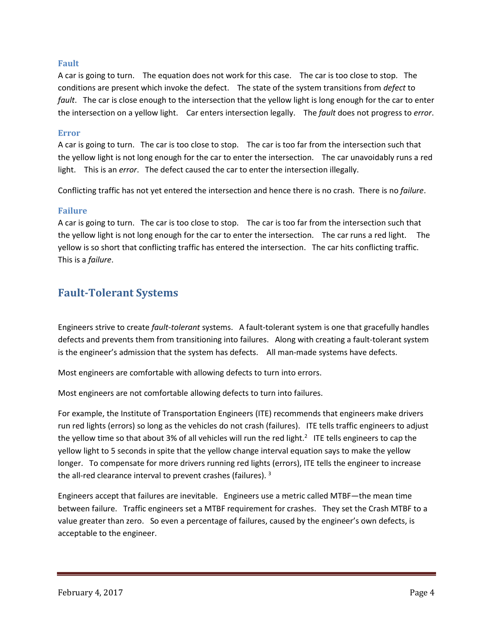#### **Fault**

A car is going to turn. The equation does not work for this case. The car is too close to stop. The conditions are present which invoke the defect. The state of the system transitions from *defect* to *fault*. The car is close enough to the intersection that the yellow light is long enough for the car to enter the intersection on a yellow light. Car enters intersection legally. The *fault* does not progress to *error*.

#### **Error**

A car is going to turn. The car is too close to stop. The car is too far from the intersection such that the yellow light is not long enough for the car to enter the intersection. The car unavoidably runs a red light. This is an *error*. The defect caused the car to enter the intersection illegally.

Conflicting traffic has not yet entered the intersection and hence there is no crash. There is no *failure*.

#### **Failure**

A car is going to turn. The car is too close to stop. The car is too far from the intersection such that the yellow light is not long enough for the car to enter the intersection. The car runs a red light. The yellow is so short that conflicting traffic has entered the intersection. The car hits conflicting traffic. This is a *failure*.

## **Fault-Tolerant Systems**

Engineers strive to create *fault-tolerant* systems. A fault-tolerant system is one that gracefully handles defects and prevents them from transitioning into failures. Along with creating a fault-tolerant system is the engineer's admission that the system has defects. All man-made systems have defects.

Most engineers are comfortable with allowing defects to turn into errors.

Most engineers are not comfortable allowing defects to turn into failures.

For example, the Institute of Transportation Engineers (ITE) recommends that engineers make drivers run red lights (errors) so long as the vehicles do not crash (failures). ITE tells traffic engineers to adjust the yellow time so that about 3% of all vehicles will run the red light.<sup>2</sup> ITE tells engineers to cap the yellow light to 5 seconds in spite that the yellow change interval equation says to make the yellow longer. To compensate for more drivers running red lights (errors), ITE tells the engineer to increase the all-red clearance interval to prevent crashes (failures). <sup>3</sup>

Engineers accept that failures are inevitable. Engineers use a metric called MTBF—the mean time between failure. Traffic engineers set a MTBF requirement for crashes. They set the Crash MTBF to a value greater than zero. So even a percentage of failures, caused by the engineer's own defects, is acceptable to the engineer.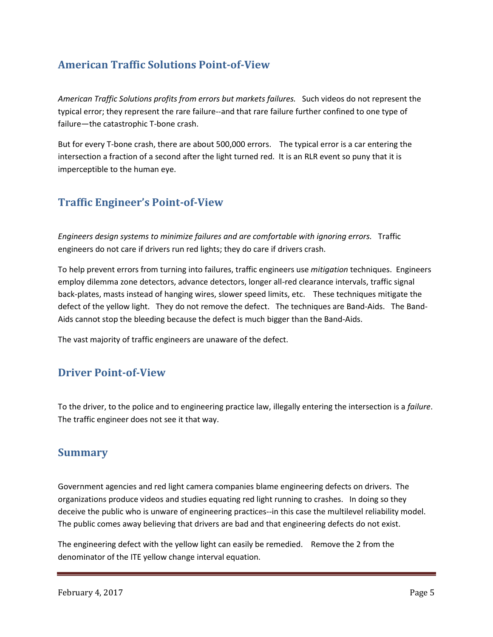## **American Traffic Solutions Point-of-View**

*American Traffic Solutions profits from errors but markets failures.* Such videos do not represent the typical error; they represent the rare failure--and that rare failure further confined to one type of failure—the catastrophic T-bone crash.

But for every T-bone crash, there are about 500,000 errors. The typical error is a car entering the intersection a fraction of a second after the light turned red. It is an RLR event so puny that it is imperceptible to the human eye.

## **Traffic Engineer's Point-of-View**

*Engineers design systems to minimize failures and are comfortable with ignoring errors.* Traffic engineers do not care if drivers run red lights; they do care if drivers crash.

To help prevent errors from turning into failures, traffic engineers use *mitigation* techniques. Engineers employ dilemma zone detectors, advance detectors, longer all-red clearance intervals, traffic signal back-plates, masts instead of hanging wires, slower speed limits, etc. These techniques mitigate the defect of the yellow light. They do not remove the defect. The techniques are Band-Aids. The Band-Aids cannot stop the bleeding because the defect is much bigger than the Band-Aids.

The vast majority of traffic engineers are unaware of the defect.

## **Driver Point-of-View**

To the driver, to the police and to engineering practice law, illegally entering the intersection is a *failure*. The traffic engineer does not see it that way.

## **Summary**

Government agencies and red light camera companies blame engineering defects on drivers. The organizations produce videos and studies equating red light running to crashes. In doing so they deceive the public who is unware of engineering practices--in this case the multilevel reliability model. The public comes away believing that drivers are bad and that engineering defects do not exist.

The engineering defect with the yellow light can easily be remedied. Remove the 2 from the denominator of the ITE yellow change interval equation.